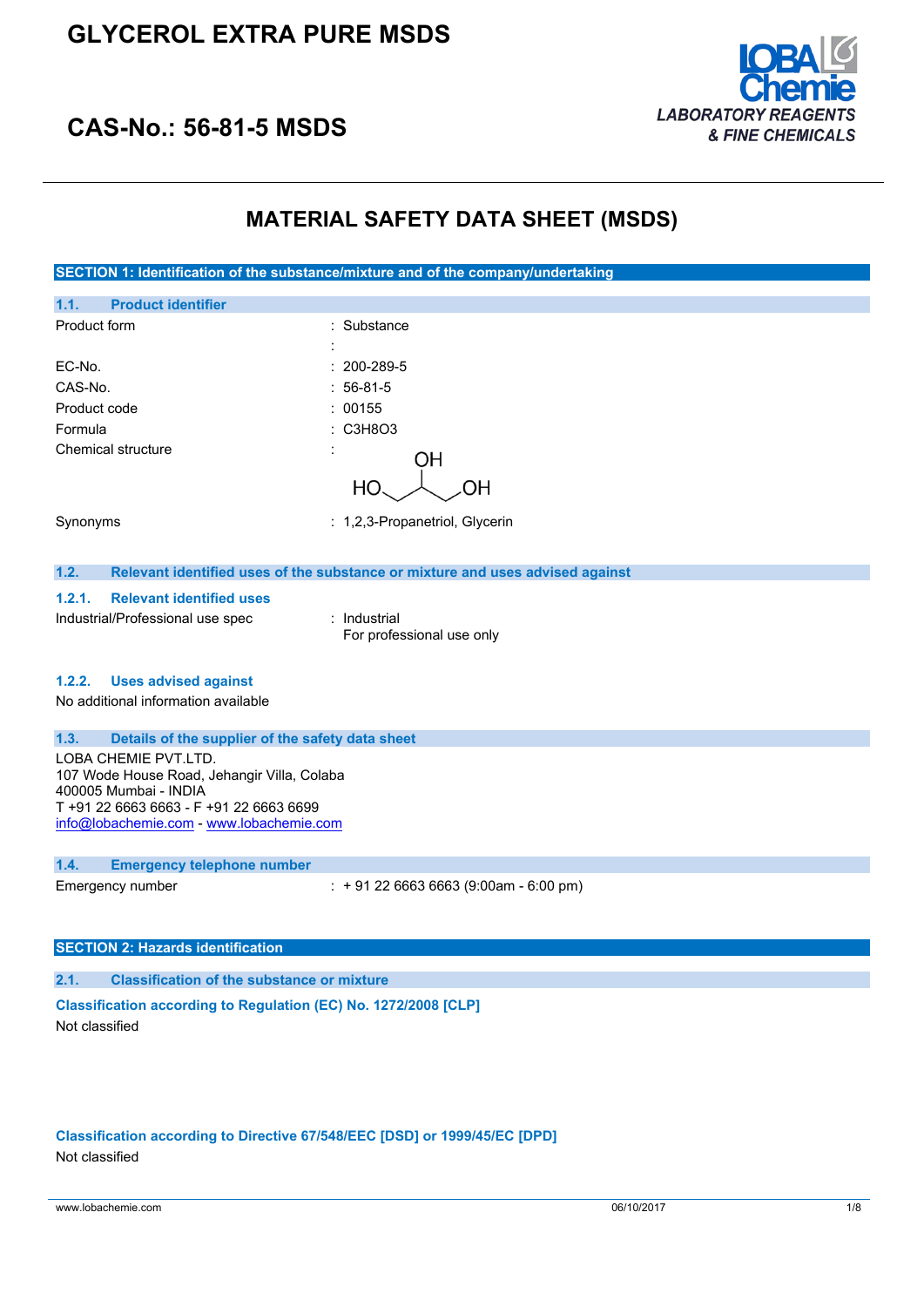# **GLYCEROL EXTRA PURE MSDS**



# **CAS-No.: 56-81-5 MSDS**

# **MATERIAL SAFETY DATA SHEET (MSDS)**

**SECTION 1: Identification of the substance/mixture and of the company/undertaking 1.1. Product identifier** Product form : Substance : Substance : EC-No. : 200-289-5 CAS-No. : 56-81-5 Product code : 00155 Formula : C3H8O3 Chemical structure **OH** HO. ΟH Synonyms : 1,2,3-Propanetriol, Glycerin **1.2. Relevant identified uses of the substance or mixture and uses advised against 1.2.1. Relevant identified uses** Industrial/Professional use spec : Industrial For professional use only **1.2.2. Uses advised against** No additional information available **1.3. Details of the supplier of the safety data sheet** LOBA CHEMIE PVT.LTD. 107 Wode House Road, Jehangir Villa, Colaba 400005 Mumbai - INDIA T +91 22 6663 6663 - F +91 22 6663 6699 [info@lobachemie.com](mailto:info@lobachemie.com) - <www.lobachemie.com> **1.4. Emergency telephone number** Emergency number : + 91 22 6663 6663 (9:00am - 6:00 pm)

### **SECTION 2: Hazards identification**

#### **2.1. Classification of the substance or mixture**

### **Classification according to Regulation (EC) No. 1272/2008 [CLP]** Not classified

# **Classification according to Directive 67/548/EEC [DSD] or 1999/45/EC [DPD]**

Not classified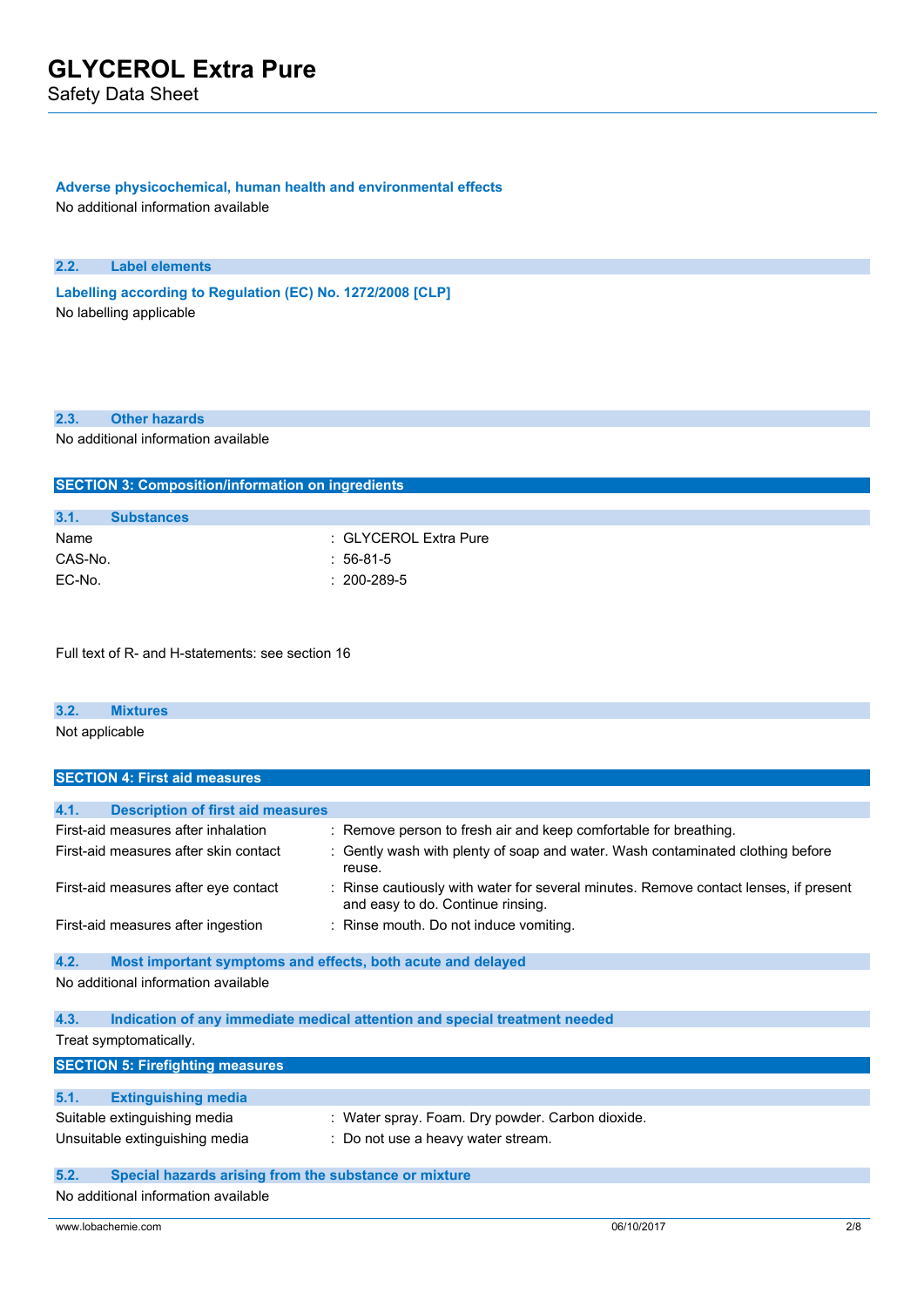Safety Data Sheet

### **Adverse physicochemical, human health and environmental effects**

No additional information available

#### **2.2. Label elements**

**Labelling according to** Regulation (EC) No. 1272/2008 [CLP] No labelling applicable

#### **2.3. Other hazards**

No additional information available

**SECTION 3: Composition/information on ingredients**

| SECTION 3: COMPOSITION/INTOMIATION ON INGLESIAS |                       |
|-------------------------------------------------|-----------------------|
|                                                 |                       |
| 3.1.<br><b>Substances</b>                       |                       |
| Name                                            | : GLYCEROL Extra Pure |
| CAS-No.                                         | $:56-81-5$            |
| EC-No.                                          | $: 200 - 289 - 5$     |
|                                                 |                       |

Full text of R- and H-statements: see section 16

# **3.2. Mixtures**

Not applicable

| <b>SECTION 4: First aid measures</b>             |                                                                                                                         |
|--------------------------------------------------|-------------------------------------------------------------------------------------------------------------------------|
|                                                  |                                                                                                                         |
| 4.1.<br><b>Description of first aid measures</b> |                                                                                                                         |
| First-aid measures after inhalation              | : Remove person to fresh air and keep comfortable for breathing.                                                        |
| First-aid measures after skin contact            | : Gently wash with plenty of soap and water. Wash contaminated clothing before<br>reuse.                                |
| First-aid measures after eye contact             | Rinse cautiously with water for several minutes. Remove contact lenses, if present<br>and easy to do. Continue rinsing. |
| First-aid measures after ingestion               | : Rinse mouth. Do not induce vomiting.                                                                                  |

### **4.2. Most important symptoms and effects, both acute and delayed** No additional information available

| 4.3. | Indication of any immediate medical attention and special treatment needed |  |  |  |  |  |
|------|----------------------------------------------------------------------------|--|--|--|--|--|
|      | Treat symptomatically.                                                     |  |  |  |  |  |

| <b>SECTION 5: Firefighting measures</b> |                                                  |  |  |
|-----------------------------------------|--------------------------------------------------|--|--|
|                                         |                                                  |  |  |
| 5.1.<br><b>Extinguishing media</b>      |                                                  |  |  |
| Suitable extinguishing media            | : Water spray. Foam. Dry powder. Carbon dioxide. |  |  |
| Unsuitable extinguishing media          | : Do not use a heavy water stream.               |  |  |
|                                         |                                                  |  |  |

### **5.2. Special hazards arising from the substance or mixture**

No additional information available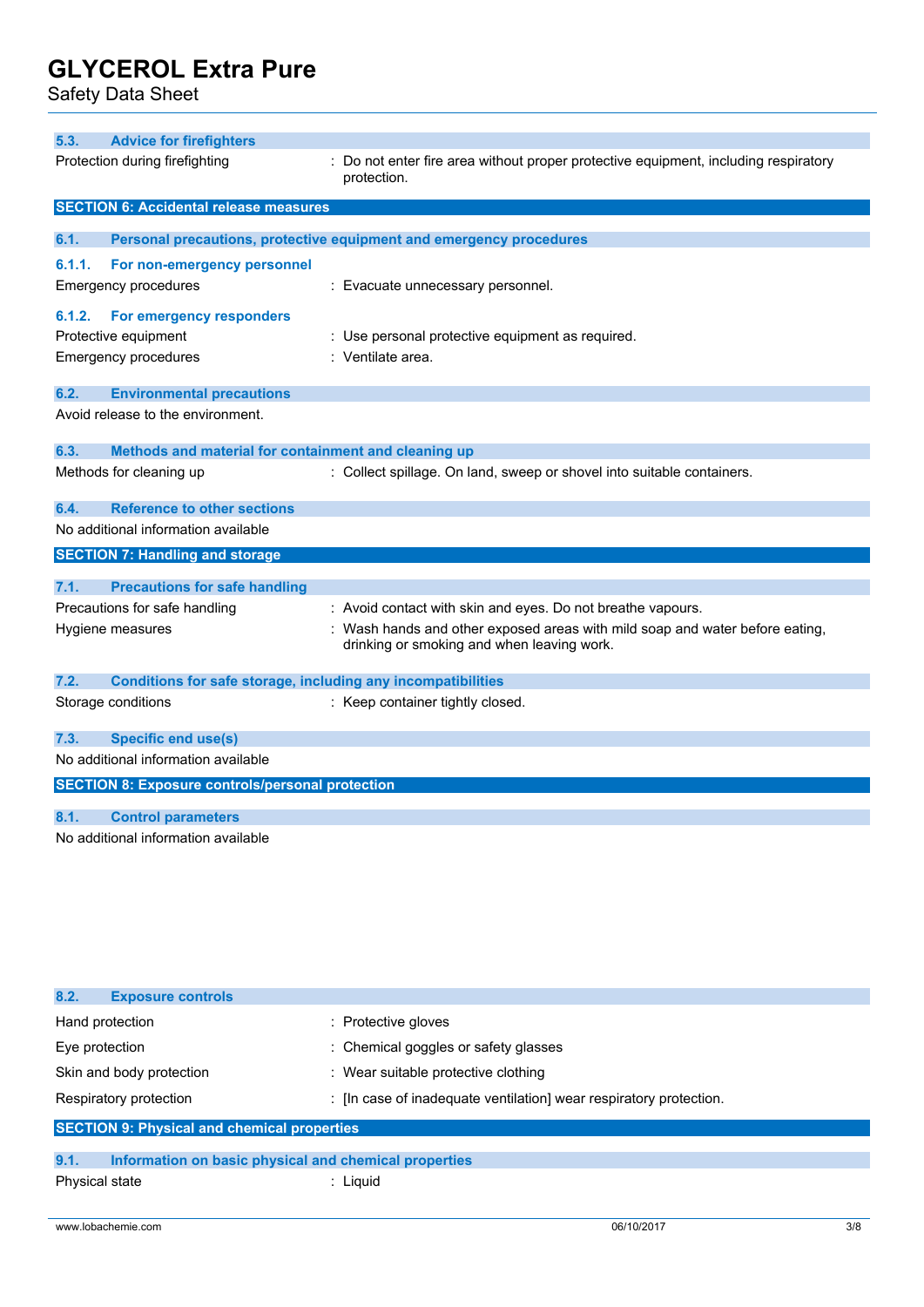Safety Data Sheet

| 5.3.   | <b>Advice for firefighters</b>                                      |                                                                                                                            |
|--------|---------------------------------------------------------------------|----------------------------------------------------------------------------------------------------------------------------|
|        | Protection during firefighting                                      | : Do not enter fire area without proper protective equipment, including respiratory<br>protection.                         |
|        | <b>SECTION 6: Accidental release measures</b>                       |                                                                                                                            |
| 6.1.   |                                                                     | Personal precautions, protective equipment and emergency procedures                                                        |
| 6.1.1. | For non-emergency personnel                                         |                                                                                                                            |
|        | <b>Emergency procedures</b>                                         | : Evacuate unnecessary personnel.                                                                                          |
| 6.1.2. | For emergency responders                                            |                                                                                                                            |
|        | Protective equipment                                                | : Use personal protective equipment as required.                                                                           |
|        | <b>Emergency procedures</b>                                         | : Ventilate area.                                                                                                          |
| 6.2.   | <b>Environmental precautions</b>                                    |                                                                                                                            |
|        | Avoid release to the environment.                                   |                                                                                                                            |
| 6.3.   | Methods and material for containment and cleaning up                |                                                                                                                            |
|        | Methods for cleaning up                                             | : Collect spillage. On land, sweep or shovel into suitable containers.                                                     |
| 6.4.   | <b>Reference to other sections</b>                                  |                                                                                                                            |
|        | No additional information available                                 |                                                                                                                            |
|        | <b>SECTION 7: Handling and storage</b>                              |                                                                                                                            |
| 7.1.   | <b>Precautions for safe handling</b>                                |                                                                                                                            |
|        | Precautions for safe handling                                       | : Avoid contact with skin and eyes. Do not breathe vapours.                                                                |
|        | Hygiene measures                                                    | : Wash hands and other exposed areas with mild soap and water before eating,<br>drinking or smoking and when leaving work. |
| 7.2.   | <b>Conditions for safe storage, including any incompatibilities</b> |                                                                                                                            |
|        | Storage conditions                                                  | : Keep container tightly closed.                                                                                           |
| 7.3.   | <b>Specific end use(s)</b>                                          |                                                                                                                            |
|        | No additional information available                                 |                                                                                                                            |
|        | <b>SECTION 8: Exposure controls/personal protection</b>             |                                                                                                                            |
| 8.1.   | <b>Control parameters</b>                                           |                                                                                                                            |
|        | No additional information available                                 |                                                                                                                            |

| 8.2.<br><b>Exposure controls</b>                   |                                                                  |
|----------------------------------------------------|------------------------------------------------------------------|
| Hand protection                                    | : Protective gloves                                              |
| Eye protection                                     | : Chemical goggles or safety glasses                             |
| Skin and body protection                           | : Wear suitable protective clothing                              |
| Respiratory protection                             | : In case of inadequate ventilation wear respiratory protection. |
| <b>SECTION 9: Physical and chemical properties</b> |                                                                  |
|                                                    |                                                                  |

| 9.1.           | Information on basic physical and chemical properties |          |
|----------------|-------------------------------------------------------|----------|
| Physical state |                                                       | : Liauid |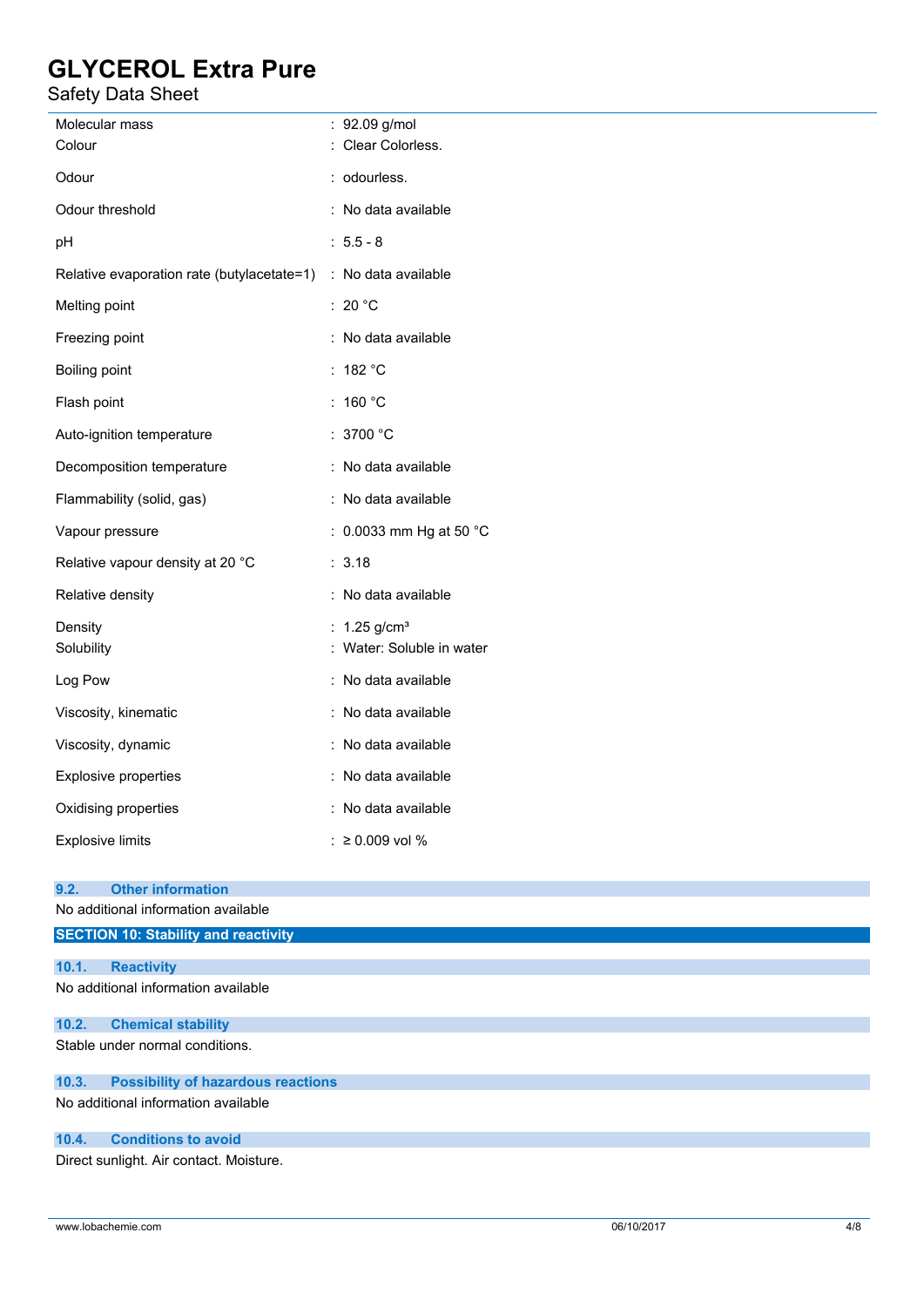# Safety Data Sheet

| Molecular mass<br>Colour                                                       | : 92.09 g/mol<br>: Clear Colorless.                     |
|--------------------------------------------------------------------------------|---------------------------------------------------------|
| Odour                                                                          | : odourless.                                            |
| Odour threshold                                                                | : No data available                                     |
| pH                                                                             | $: 5.5 - 8$                                             |
| Relative evaporation rate (butylacetate=1) : No data available                 |                                                         |
| Melting point                                                                  | : 20 $^{\circ}$ C                                       |
| Freezing point                                                                 | : No data available                                     |
| Boiling point                                                                  | : 182 $^{\circ}$ C                                      |
| Flash point                                                                    | : 160 °C                                                |
| Auto-ignition temperature                                                      | : 3700 $^{\circ}$ C                                     |
| Decomposition temperature                                                      | : No data available                                     |
| Flammability (solid, gas)                                                      | : No data available                                     |
| Vapour pressure                                                                | : 0.0033 mm Hg at 50 $^{\circ}$ C                       |
| Relative vapour density at 20 °C                                               | : 3.18                                                  |
| Relative density                                                               | : No data available                                     |
| Density<br>Solubility                                                          | : $1.25$ g/cm <sup>3</sup><br>: Water: Soluble in water |
| Log Pow                                                                        | : No data available                                     |
| Viscosity, kinematic                                                           | : No data available                                     |
| Viscosity, dynamic                                                             | : No data available                                     |
| Explosive properties                                                           | : No data available                                     |
| Oxidising properties                                                           | No data available                                       |
| <b>Explosive limits</b>                                                        | ≥ 0.009 vol %<br>t.                                     |
| <b>Other information</b><br>9.2.                                               |                                                         |
| No additional information available                                            |                                                         |
| <b>SECTION 10: Stability and reactivity</b>                                    |                                                         |
| 10.1.<br><b>Reactivity</b><br>No additional information available              |                                                         |
| 10.2.<br><b>Chemical stability</b>                                             |                                                         |
| Stable under normal conditions.                                                |                                                         |
| <b>Possibility of hazardous reactions</b><br>10.3.                             |                                                         |
| No additional information available                                            |                                                         |
| <b>Conditions to avoid</b><br>10.4.<br>Direct sunlight. Air contact. Moisture. |                                                         |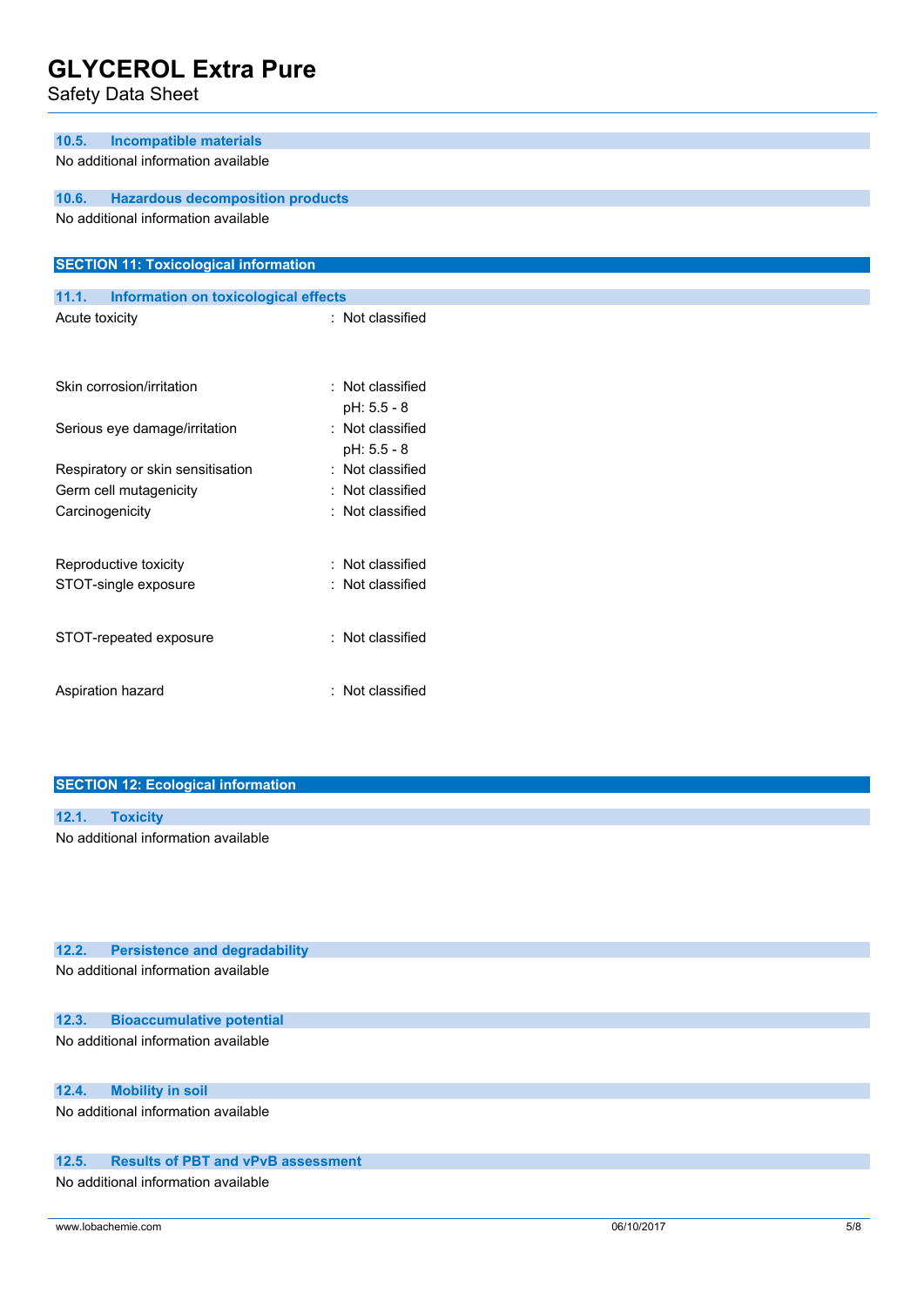Safety Data Sheet

| <b>Incompatible materials</b><br>10.5.               |                      |
|------------------------------------------------------|----------------------|
| No additional information available                  |                      |
| 10.6.<br><b>Hazardous decomposition products</b>     |                      |
| No additional information available                  |                      |
| <b>SECTION 11: Toxicological information</b>         |                      |
| 11.1.<br><b>Information on toxicological effects</b> |                      |
| Acute toxicity                                       | : Not classified     |
|                                                      |                      |
| Skin corrosion/irritation                            | : Not classified     |
|                                                      | pH: 5.5 - 8          |
| Serious eye damage/irritation                        | : Not classified     |
|                                                      | pH: 5.5 - 8          |
| Respiratory or skin sensitisation                    | Not classified<br>÷  |
| Germ cell mutagenicity                               | Not classified       |
| Carcinogenicity                                      | : Not classified     |
|                                                      |                      |
| Reproductive toxicity                                | Not classified<br>۰. |
| STOT-single exposure                                 | : Not classified     |
|                                                      |                      |
| STOT-repeated exposure                               | : Not classified     |
|                                                      |                      |
|                                                      |                      |

## **SECTION 12: Ecological information**

Aspiration hazard **in the set of the set of the set of the set of the set of the set of the set of the set of the set of the set of the set of the set of the set of the set of the set of the set of the set of the set of th** 

| 12.1. |                                     |
|-------|-------------------------------------|
|       |                                     |
|       | No additional information available |

| 12.2. | <b>Persistence and degradability</b> |  |
|-------|--------------------------------------|--|
|       | No additional information available  |  |

## **12.3. Bioaccumulative potential**

No additional information available

# **12.4. Mobility in soil**

No additional information available

### **12.5. Results of PBT and vPvB assessment**

No additional information available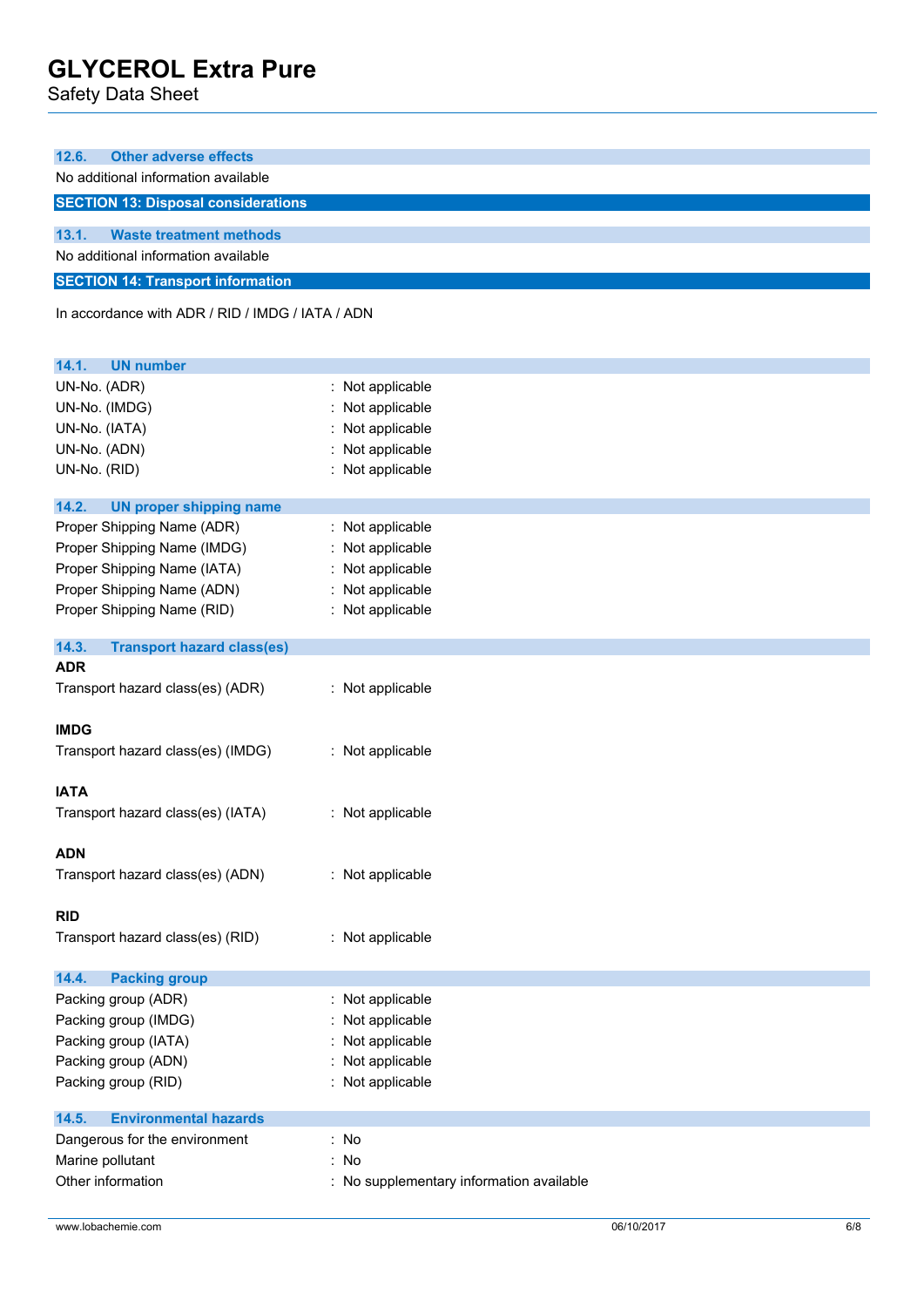Safety Data Sheet

| 12.6.<br><b>Other adverse effects</b>                     |                                          |  |
|-----------------------------------------------------------|------------------------------------------|--|
| No additional information available                       |                                          |  |
| <b>SECTION 13: Disposal considerations</b>                |                                          |  |
| 13.1.<br><b>Waste treatment methods</b>                   |                                          |  |
| No additional information available                       |                                          |  |
|                                                           |                                          |  |
| <b>SECTION 14: Transport information</b>                  |                                          |  |
| In accordance with ADR / RID / IMDG / IATA / ADN          |                                          |  |
|                                                           |                                          |  |
| 14.1.<br><b>UN number</b>                                 |                                          |  |
| UN-No. (ADR)                                              | : Not applicable                         |  |
| UN-No. (IMDG)                                             | Not applicable                           |  |
| UN-No. (IATA)                                             | : Not applicable                         |  |
| UN-No. (ADN)                                              | : Not applicable                         |  |
| UN-No. (RID)                                              | : Not applicable                         |  |
|                                                           |                                          |  |
| 14.2.<br><b>UN proper shipping name</b>                   |                                          |  |
| Proper Shipping Name (ADR)<br>Proper Shipping Name (IMDG) | : Not applicable<br>: Not applicable     |  |
| Proper Shipping Name (IATA)                               | : Not applicable                         |  |
| Proper Shipping Name (ADN)                                | : Not applicable                         |  |
| Proper Shipping Name (RID)                                | : Not applicable                         |  |
|                                                           |                                          |  |
| 14.3.<br><b>Transport hazard class(es)</b>                |                                          |  |
| <b>ADR</b>                                                |                                          |  |
| Transport hazard class(es) (ADR)                          | : Not applicable                         |  |
|                                                           |                                          |  |
| <b>IMDG</b>                                               |                                          |  |
| Transport hazard class(es) (IMDG)                         | : Not applicable                         |  |
| <b>IATA</b>                                               |                                          |  |
| Transport hazard class(es) (IATA)                         | : Not applicable                         |  |
|                                                           |                                          |  |
| <b>ADN</b>                                                |                                          |  |
| Transport hazard class(es) (ADN)                          | : Not applicable                         |  |
|                                                           |                                          |  |
| <b>RID</b>                                                |                                          |  |
| Transport hazard class(es) (RID)                          | : Not applicable                         |  |
|                                                           |                                          |  |
| 14.4.<br><b>Packing group</b>                             |                                          |  |
| Packing group (ADR)                                       | : Not applicable                         |  |
| Packing group (IMDG)                                      | : Not applicable                         |  |
| Packing group (IATA)                                      | Not applicable                           |  |
| Packing group (ADN)                                       | Not applicable                           |  |
| Packing group (RID)                                       | : Not applicable                         |  |
| <b>Environmental hazards</b><br>14.5.                     |                                          |  |
| Dangerous for the environment                             | : No                                     |  |
| Marine pollutant                                          | : No                                     |  |
| Other information                                         | : No supplementary information available |  |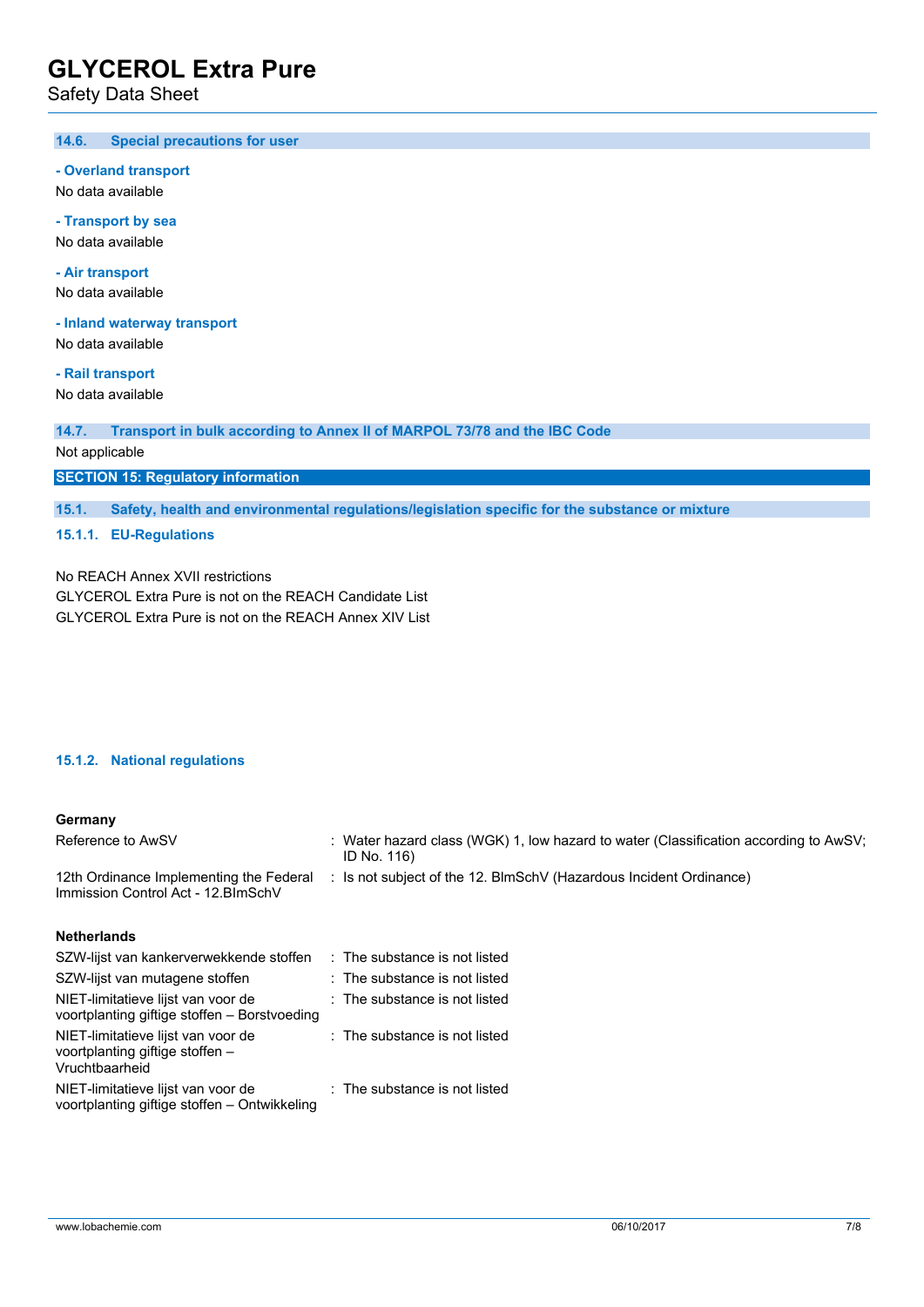Safety Data Sheet

#### $14.6.$ **14.6. Special precautions for user**

#### **- Overland transport**

No data available

### **- Transport by sea**

No data available

# **- Air transport**

No data available

#### **- Inland waterway transport**

No data available

# **- Rail transport**

No data available

#### **14.7. Transport in bulk according to Annex II of MARPOL 73/78 and the IBC Code**

Not applicable

### **SECTION 15: Regulatory information**

**15.1. Safety, health and environmental regulations/legislation specific for the substance or mixture**

### **15.1.1. EU-Regulations**

No REACH Annex XVII restrictions GLYCEROL Extra Pure is not on the REACH Candidate List GLYCEROL Extra Pure is not on the REACH Annex XIV List

### **15.1.2. National regulations**

### **Germany**

| Reference to AwSV                                                              | : Water hazard class (WGK) 1, low hazard to water (Classification according to AwSV;<br>ID No. 116) |
|--------------------------------------------------------------------------------|-----------------------------------------------------------------------------------------------------|
| 12th Ordinance Implementing the Federal<br>Immission Control Act - 12. BlmSchV | : Is not subject of the 12. BlmSchV (Hazardous Incident Ordinance)                                  |
| Netherlands                                                                    |                                                                                                     |

| : The substance is not listed |
|-------------------------------|
| : The substance is not listed |
| : The substance is not listed |
| : The substance is not listed |
| : The substance is not listed |
|                               |